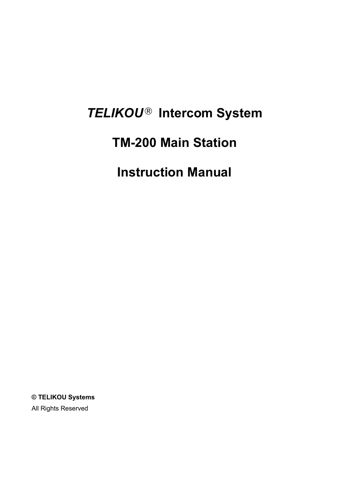# *TELIKOU* **Intercom System**

## **TM-200 Main Station**

**Instruction Manual**

**© TELIKOU Systems** All Rights Reserved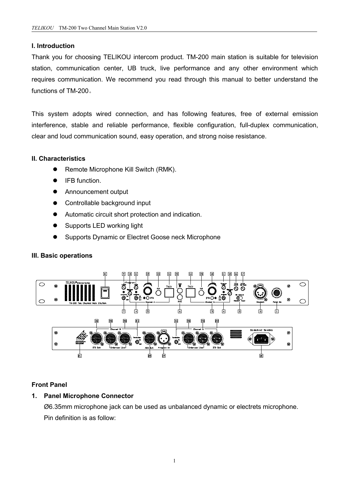## **I. Introduction**

Thank you for choosing TELIKOU intercom product. TM-200 main station issuitable for television station, communication center, UB truck, live performance and any other environment which requires communication. We recommend you read through this manual to better understand the functions of TM-200。

This system adopts wired connection, and has following features, free of external emission interference, stable and reliable performance, flexible configuration, full-duplex communication, clear and loud communication sound, easy operation, and strong noise resistance.

## **II. Characteristics**

- Remote Microphone Kill Switch (RMK).
- IFB function.
- **•** Announcement output
- Controllable background input
- Automatic circuit short protection and indication.
- Supports LED working light
- **Supports Dynamic or Electret Goose neck Microphone**

## **III. Basic operations**



## **Front Panel**

## **1. Panel Microphone Connector**

Ø6.35mm microphone jack can be used as unbalanced dynamic or electrets microphone. Pin definition is as follow: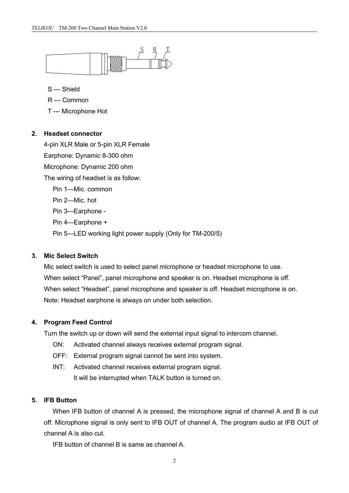

S --- Shield

- R --- Common
- T --- Microphone Hot

#### **2. Headset connector**

4-pin XLR Male or 5-pin XLR Female Earphone: Dynamic 8-300 ohm Microphone: Dynamic 200 ohm The wiring of headset is as follow: Pin 1—Mic. common Pin 2—Mic. hot Pin 3—Earphone - Pin 4—Earphone + Pin 5—LED working light power supply (Only for TM-200/5)

## **3. Mic Select Switch**

Mic select switch is used to select panel microphone or headset microphone to use. When select "Panel", panel microphone and speaker is on. Headset microphone is off. When select "Headset", panel microphone and speaker is off. Headset microphone is on. Note: Headset earphone is always on under both selection.

## **4. Program Feed Control**

Turn the switch up or down will send the external input signal to intercom channel.

- ON: Activated channel always receives external program signal.
- OFF: External program signal cannot be sent into system.
- INT: Activated channel receives external program signal. It will be interrupted when TALK button is turned on.

## **5. IFB Button**

When IFB button of channel A is pressed, the microphone signal of channel A and B is cut off. Microphone signal is only sent to IFB OUT of channel A. The program audio at IFB OUT of channel A is also cut.

IFB button of channel B is same as channel A.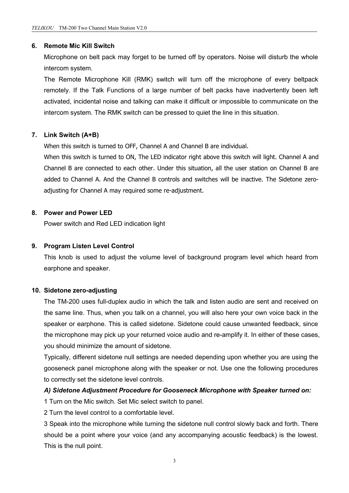## **6. Remote Mic Kill Switch**

Microphone on belt pack may forget to be turned off by operators. Noise will disturb the whole intercom system.

The Remote Microphone Kill (RMK) switch will turn off the microphone of every beltpack remotely. If the Talk Functions of a large number of belt packs have inadvertently been left activated, incidental noise and talking can make it difficult or impossible to communicate on the intercom system. The RMK switch can be pressed to quiet the line in this situation.

## **7. Link Switch (A+B)**

When this switch is turned to OFF, Channel A and Channel B are individual.

When this switch is turned to ON, The LED indicator right above this switch will light. Channel A and Channel B are connected to each other. Under this situation, all the user station on Channel B are added to Channel A. And the Channel B controls and switches will be inactive. The Sidetone zero adjusting for Channel A may required some re-adjustment.

## **8. Power and Power LED**

Power switch and Red LED indication light

## **9. Program Listen Level Control**

This knob is used to adjust the volume level of background program level which heard from earphone and speaker.

#### **10. Sidetone zero-adjusting**

The TM-200 uses full-duplex audio in which the talk and listen audio are sent and received on the same line. Thus, when you talk on a channel, you will also here your own voice back in the speaker or earphone. This is called sidetone. Sidetone could cause unwanted feedback, since the microphone may pick up your returned voice audio and re-amplify it. In either of these cases, you should minimize the amount of sidetone.

Typically, different sidetone null settings are needed depending upon whether you are using the gooseneck panel microphone along with the speaker or not. Use one the following procedures to correctly set the sidetone level controls.

#### *A) Sidetone Adjustment Procedure for Gooseneck Microphone with Speaker turned on:*

1 Turn on the Mic switch. Set Mic select switch to panel.

2 Turn the level control to a comfortable level.

3 Speak into the microphone while turning the sidetone null control slowly back and forth. There should be a point where your voice (and any accompanying acoustic feedback) is the lowest. This is the null point.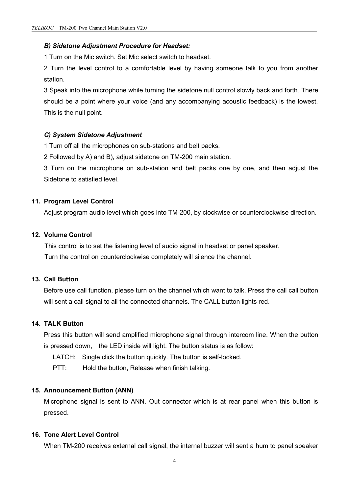#### *B) Sidetone Adjustment Procedure for Headset:*

1 Turn on the Mic switch. Set Mic select switch to headset.

2 Turn the level control to a comfortable level by having someone talk to you from another station.

3 Speak into the microphone while turning the sidetone null control slowly back and forth. There should be a point where your voice (and any accompanying acoustic feedback) is the lowest. This is the null point.

#### *C) System Sidetone Adjustment*

1 Turn off all the microphones on sub-stations and belt packs.

2 Followed by A) and B), adjust sidetone on TM-200 main station.

3 Turn on the microphone on sub-station and belt packs one by one, and then adjust the Sidetone to satisfied level.

#### **11. Program Level Control**

Adjust program audio level which goes into TM-200, by clockwise or counterclockwise direction.

## **12. Volume Control**

This control is to set the listening level of audio signal in headset or panel speaker. Turn the control on counterclockwise completely will silence the channel.

## **13. Call Button**

Before use call function, please turn on the channel which want to talk. Press the call call button will sent a call signal to all the connected channels. The CALL button lights red.

## **14. TALK Button**

Press this button will send amplified microphone signal through intercom line. When the button is pressed down, the LED inside will light. The button status is as follow:

LATCH: Single click the button quickly. The button is self-locked.

PTT: Hold the button, Release when finish talking.

#### **15. Announcement Button (ANN)**

Microphone signal is sent to ANN. Out connector which is at rear panel when this button is pressed.

## **16. Tone Alert Level Control**

When TM-200 receives external call signal, the internal buzzer will sent a hum to panel speaker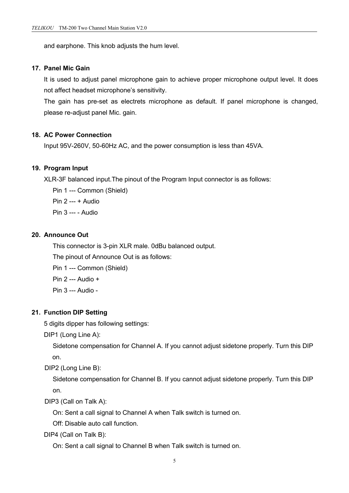and earphone. This knob adjusts the hum level.

## **17. Panel Mic Gain**

It is used to adjust panel microphone gain to achieve proper microphone output level. It does not affect headset microphone's sensitivity.

The gain has pre-set as electrets microphone as default. If panel microphone is changed, please re-adjust panel Mic. gain.

## **18. AC Power Connection**

Input 95V-260V, 50-60Hz AC, and the power consumption is less than 45VA.

## **19. Program Input**

XLR-3F balanced input.The pinout of the Program Input connector is as follows:

Pin 1 --- Common (Shield) Pin 2 --- + Audio Pin 3 --- - Audio

## **20. Announce Out**

This connector is 3-pin XLR male. 0dBu balanced output.

The pinout of Announce Out is as follows:

Pin 1 --- Common (Shield)

Pin 2 --- Audio +

Pin 3 --- Audio -

## **21. Function DIP Setting**

5 digits dipper has following settings:

DIP1 (Long Line A):

Sidetone compensation for Channel A. If you cannot adjust sidetone properly. Turn this DIP on.

DIP2 (Long Line B):

Sidetone compensation for Channel B. If you cannot adjust sidetone properly. Turn this DIP on.

DIP3 (Call on Talk A):

On: Sent a call signal to Channel A when Talk switch is turned on.

Off: Disable auto call function.

DIP4 (Call on Talk B):

On: Sent a call signal to Channel B when Talk switch is turned on.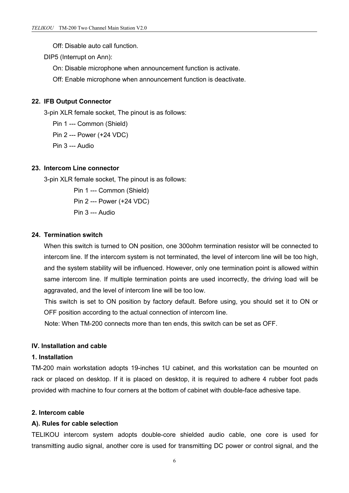- Off: Disable auto call function.
- DIP5 (Interrupt on Ann):
	- On: Disable microphone when announcement function is activate.
	- Off: Enable microphone when announcement function is deactivate.

#### **22. IFB Output Connector**

3-pin XLR female socket, The pinout is as follows:

Pin 1 --- Common (Shield)

Pin 2 --- Power (+24 VDC)

Pin 3 --- Audio

#### **23. Intercom Line connector**

3-pin XLR female socket, The pinout is as follows:

Pin 1 --- Common (Shield) Pin 2 --- Power (+24 VDC) Pin 3 --- Audio

## **24. Termination switch**

When this switch is turned to ON position, one 300ohm termination resistor will be connected to intercom line. If the intercom system is not terminated, the level of intercom line will be too high, and the system stability will be influenced. However, only one termination point is allowed within same intercom line. If multiple termination points are used incorrectly, the driving load will be aggravated, and the level of intercom line will be too low.

This switch is set to ON position by factory default. Before using, you should set it to ON or OFF position according to the actual connection of intercom line.

Note: When TM-200 connects more than ten ends, this switch can be set as OFF.

## **IV. Installation and cable**

#### **1. Installation**

TM-200 main workstation adopts 19-inches 1U cabinet, and this workstation can be mounted on rack or placed on desktop. If it is placed on desktop, it is required to adhere 4 rubber foot pads provided with machine to four corners at the bottom of cabinet with double-face adhesive tape.

#### **2. Intercom cable**

#### **A). Rules for cable selection**

TELIKOU intercom system adopts double-core shielded audio cable, one core is used for transmitting audio signal, another core is used for transmitting DC power or control signal, and the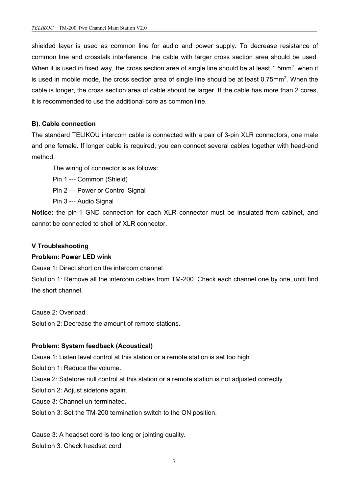shielded layer is used as common line for audio and power supply. To decrease resistance of common line and crosstalk interference, the cable with larger cross section area should be used. When it is used in fixed way, the cross section area of single line should be at least 1.5mm², when it is used in mobile mode, the cross section area of single line should be at least 0.75mm². When the cable islonger, the cross section area of cable should be larger. If the cable has more than 2 cores, it is recommended to use the additional core as common line.

## **B). Cable connection**

The standard TELIKOU intercom cable is connected with a pair of 3-pin XLR connectors, one male and one female. If longer cable is required, you can connect several cables together with head-end

method.<br>The wiring of connector is as follows:

Pin 1 --- Common (Shield)

Pin 2 --- Power or Control Signal

Pin 3 --- Audio Signal

**Notice:** the pin-1 GND connection for each XLR connector must be insulated from cabinet, and cannot be connected to shell of XLR connector.

## **V Troubleshooting**

## **Problem: Power LED wink**

Cause 1: Direct short on the intercom channel

Solution 1: Remove all the intercom cables from TM-200. Check each channel one by one, until find the short channel.

Cause 2: Overload

Solution 2: Decrease the amount of remote stations.

## **Problem: System feedback (Acoustical)**

Cause 1: Listen level control at this station or a remote station is set too high

Solution 1: Reduce the volume.

Cause 2: Sidetone null control at this station or a remote station is not adjusted correctly

Solution 2: Adjust sidetone again.

Cause 3: Channel un-terminated.

Solution 3: Set the TM-200 termination switch to the ON position.

Cause 3: A headset cord is too long or jointing quality.

Solution 3: Check headset cord